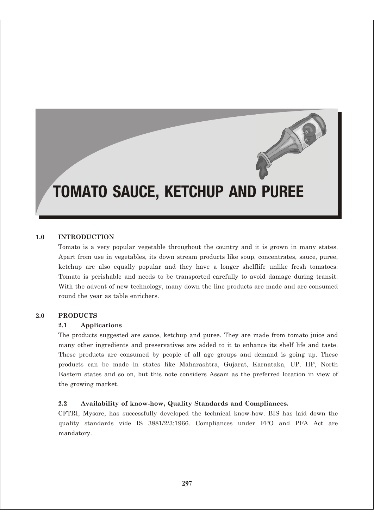# TOMATO SAUCE, KETCHUP AND PUREE

#### **1.0 INTRODUCTION**

Tomato is a very popular vegetable throughout the country and it is grown in many states. Apart from use in vegetables, its down stream products like soup, concentrates, sauce, puree, ketchup are also equally popular and they have a longer shelflife unlike fresh tomatoes. Tomato is perishable and needs to be transported carefully to avoid damage during transit. With the advent of new technology, many down the line products are made and are consumed round the year as table enrichers.

#### **2.0 PRODUCTS**

#### **2.1 Applications**

The products suggested are sauce, ketchup and puree. They are made from tomato juice and many other ingredients and preservatives are added to it to enhance its shelf life and taste. These products are consumed by people of all age groups and demand is going up. These products can be made in states like Maharashtra, Gujarat, Karnataka, UP, HP, North Eastern states and so on, but this note considers Assam as the preferred location in view of the growing market.

#### **2.2 Availability of know-how, Quality Standards and Compliances.**

CFTRI, Mysore, has successfully developed the technical know-how. BIS has laid down the quality standards vide IS 3881/2/3:1966. Compliances under FPO and PFA Act are mandatory.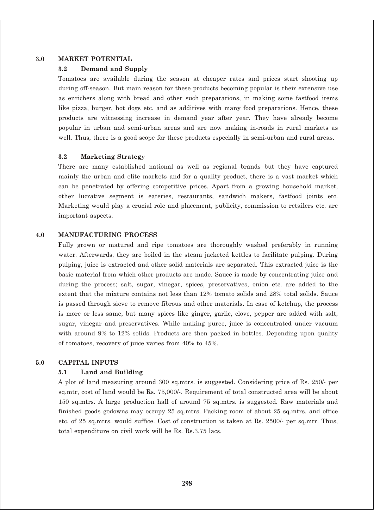# **3.0 MARKET POTENTIAL**

### **3.2 Demand and Supply**

Tomatoes are available during the season at cheaper rates and prices start shooting up during off-season. But main reason for these products becoming popular is their extensive use as enrichers along with bread and other such preparations, in making some fastfood items like pizza, burger, hot dogs etc. and as additives with many food preparations. Hence, these products are witnessing increase in demand year after year. They have already become popular in urban and semi-urban areas and are now making in-roads in rural markets as well. Thus, there is a good scope for these products especially in semi-urban and rural areas.

#### **3.2 Marketing Strategy**

There are many established national as well as regional brands but they have captured mainly the urban and elite markets and for a quality product, there is a vast market which can be penetrated by offering competitive prices. Apart from a growing household market, other lucrative segment is eateries, restaurants, sandwich makers, fastfood joints etc. Marketing would play a crucial role and placement, publicity, commission to retailers etc. are important aspects.

#### **4.0 MANUFACTURING PROCESS**

Fully grown or matured and ripe tomatoes are thoroughly washed preferably in running water. Afterwards, they are boiled in the steam jacketed kettles to facilitate pulping. During pulping, juice is extracted and other solid materials are separated. This extracted juice is the basic material from which other products are made. Sauce is made by concentrating juice and during the process; salt, sugar, vinegar, spices, preservatives, onion etc. are added to the extent that the mixture contains not less than 12% tomato solids and 28% total solids. Sauce is passed through sieve to remove fibrous and other materials. In case of ketchup, the process is more or less same, but many spices like ginger, garlic, clove, pepper are added with salt, sugar, vinegar and preservatives. While making puree, juice is concentrated under vacuum with around 9% to 12% solids. Products are then packed in bottles. Depending upon quality of tomatoes, recovery of juice varies from 40% to 45%.

#### **5.0 CAPITAL INPUTS**

#### **5.1 Land and Building**

A plot of land measuring around 300 sq.mtrs. is suggested. Considering price of Rs. 250/- per sq.mtr, cost of land would be Rs. 75,000/-. Requirement of total constructed area will be about 150 sq.mtrs. A large production hall of around 75 sq.mtrs. is suggested. Raw materials and finished goods godowns may occupy 25 sq.mtrs. Packing room of about 25 sq.mtrs. and office etc. of 25 sq.mtrs. would suffice. Cost of construction is taken at Rs. 2500/- per sq.mtr. Thus, total expenditure on civil work will be Rs. Rs.3.75 lacs.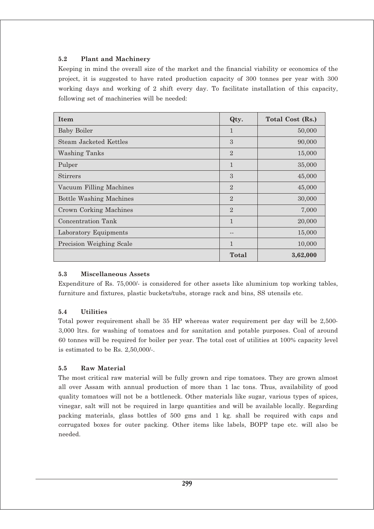# **5.2 Plant and Machinery**

Keeping in mind the overall size of the market and the financial viability or economics of the project, it is suggested to have rated production capacity of 300 tonnes per year with 300 working days and working of 2 shift every day. To facilitate installation of this capacity, following set of machineries will be needed:

| Item                           | Qty.           | Total Cost (Rs.) |
|--------------------------------|----------------|------------------|
| <b>Baby Boiler</b>             | $\mathbf{1}$   | 50,000           |
| Steam Jacketed Kettles         | 3              | 90,000           |
| <b>Washing Tanks</b>           | $\mathfrak{D}$ | 15,000           |
| Pulper                         | $\mathbf{1}$   | 35,000           |
| <b>Stirrers</b>                | 3              | 45,000           |
| Vacuum Filling Machines        | $\overline{2}$ | 45,000           |
| <b>Bottle Washing Machines</b> | $\mathfrak{D}$ | 30,000           |
| <b>Crown Corking Machines</b>  | $\overline{2}$ | 7,000            |
| Concentration Tank             | $\mathbf{1}$   | 20,000           |
| Laboratory Equipments          |                | 15,000           |
| Precision Weighing Scale       | $\mathbf{1}$   | 10,000           |
|                                | Total          | 3,62,000         |

# **5.3 Miscellaneous Assets**

Expenditure of Rs. 75,000/- is considered for other assets like aluminium top working tables, furniture and fixtures, plastic buckets/tubs, storage rack and bins, SS utensils etc.

# **5.4 Utilities**

Total power requirement shall be 35 HP whereas water requirement per day will be 2,500- 3,000 ltrs. for washing of tomatoes and for sanitation and potable purposes. Coal of around 60 tonnes will be required for boiler per year. The total cost of utilities at 100% capacity level is estimated to be Rs. 2,50,000/-.

# **5.5 Raw Material**

The most critical raw material will be fully grown and ripe tomatoes. They are grown almost all over Assam with annual production of more than 1 lac tons. Thus, availability of good quality tomatoes will not be a bottleneck. Other materials like sugar, various types of spices, vinegar, salt will not be required in large quantities and will be available locally. Regarding packing materials, glass bottles of 500 gms and 1 kg. shall be required with caps and corrugated boxes for outer packing. Other items like labels, BOPP tape etc. will also be needed.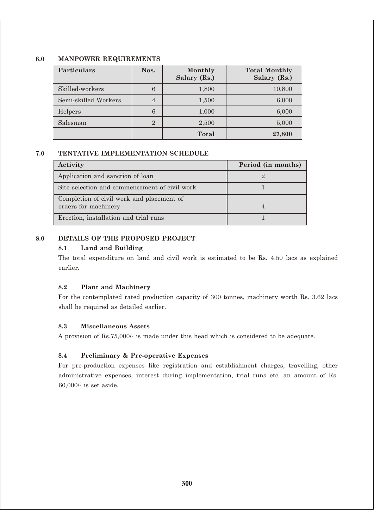# **6.0 MANPOWER REQUIREMENTS**

| <b>Particulars</b>   | Nos.           | Monthly<br>Salary (Rs.) | <b>Total Monthly</b><br>Salary (Rs.) |
|----------------------|----------------|-------------------------|--------------------------------------|
| Skilled-workers      | 6              | 1,800                   | 10,800                               |
| Semi-skilled Workers | $\overline{4}$ | 1,500                   | 6,000                                |
| Helpers              | 6              | 1,000                   | 6,000                                |
| Salesman             | $\overline{2}$ | 2,500                   | 5,000                                |
|                      |                | <b>Total</b>            | 27,800                               |

# **7.0 TENTATIVE IMPLEMENTATION SCHEDULE**

| Period (in months) |
|--------------------|
|                    |
|                    |
|                    |
|                    |
|                    |
|                    |

# **8.0 DETAILS OF THE PROPOSED PROJECT**

# **8.1 Land and Building**

The total expenditure on land and civil work is estimated to be Rs. 4.50 lacs as explained earlier.

### **8.2 Plant and Machinery**

For the contemplated rated production capacity of 300 tonnes, machinery worth Rs. 3.62 lacs shall be required as detailed earlier.

### **8.3 Miscellaneous Assets**

A provision of Rs.75,000/- is made under this head which is considered to be adequate.

### **8.4 Preliminary & Pre-operative Expenses**

For pre-production expenses like registration and establishment charges, travelling, other administrative expenses, interest during implementation, trial runs etc. an amount of Rs. 60,000/- is set aside.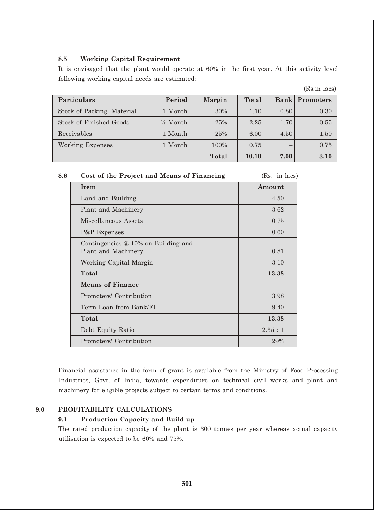# **8.5 Working Capital Requirement**

It is envisaged that the plant would operate at 60% in the first year. At this activity level following working capital needs are estimated:

|                           |                     |               |       |             | (Rs.in lacs)     |
|---------------------------|---------------------|---------------|-------|-------------|------------------|
| <b>Particulars</b>        | Period              | <b>Margin</b> | Total | <b>Bank</b> | <b>Promoters</b> |
| Stock of Packing Material | 1 Month             | 30%           | 1.10  | 0.80        | 0.30             |
| Stock of Finished Goods   | $\frac{1}{2}$ Month | 25%           | 2.25  | 1.70        | 0.55             |
| Receivables               | 1 Month             | 25%           | 6.00  | 4.50        | 1.50             |
| Working Expenses          | 1 Month             | 100%          | 0.75  | –           | 0.75             |
|                           |                     | Total         | 10.10 | 7.00        | 3.10             |

| 8.6 | Cost of the Project and Means of Financing | (Rs. in lacs) |
|-----|--------------------------------------------|---------------|
|-----|--------------------------------------------|---------------|

| <b>Item</b>                                                | Amount |
|------------------------------------------------------------|--------|
| Land and Building                                          | 4.50   |
| Plant and Machinery                                        | 3.62   |
| Miscellaneous Assets                                       | 0.75   |
| P&P Expenses                                               | 0.60   |
| Contingencies @ 10% on Building and<br>Plant and Machinery | 0.81   |
| Working Capital Margin                                     | 3.10   |
| Total                                                      | 13.38  |
| <b>Means of Finance</b>                                    |        |
| Promoters' Contribution                                    | 3.98   |
| Term Loan from Bank/FI                                     | 9.40   |
| Total                                                      | 13.38  |
| Debt Equity Ratio                                          | 2.35:1 |
| Promoters' Contribution                                    | 29%    |

Financial assistance in the form of grant is available from the Ministry of Food Processing Industries, Govt. of India, towards expenditure on technical civil works and plant and machinery for eligible projects subject to certain terms and conditions.

## **9.0 PROFITABILITY CALCULATIONS**

#### **9.1 Production Capacity and Build-up**

The rated production capacity of the plant is 300 tonnes per year whereas actual capacity utilisation is expected to be 60% and 75%.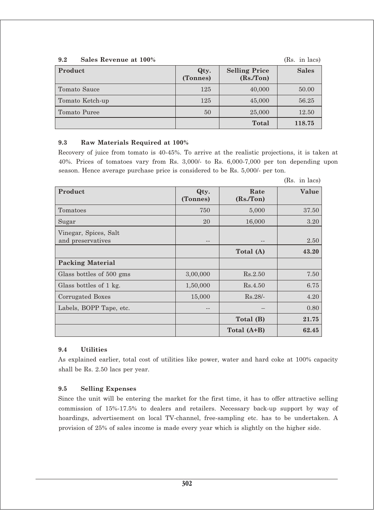**9.2 Sales Revenue at 100%** (Rs. in lacs)

| Product         | Qty.<br>(Tonnes) | <b>Selling Price</b><br>(Rs/Ton) | <b>Sales</b> |
|-----------------|------------------|----------------------------------|--------------|
| Tomato Sauce    | 125              | 40,000                           | 50.00        |
| Tomato Ketch-up | 125              | 45,000                           | 56.25        |
| Tomato Puree    | 50               | 25,000                           | 12.50        |
|                 |                  | <b>Total</b>                     | 118.75       |

### **9.3 Raw Materials Required at 100%**

Recovery of juice from tomato is 40-45%. To arrive at the realistic projections, it is taken at 40%. Prices of tomatoes vary from Rs. 3,000/- to Rs. 6,000-7,000 per ton depending upon season. Hence average purchase price is considered to be Rs. 5,000/- per ton.

| Product                                    | Qty.<br>(Tonnes) | Rate<br>(Rs/Ton) | Value |
|--------------------------------------------|------------------|------------------|-------|
| Tomatoes                                   | 750              | 5,000            | 37.50 |
| Sugar                                      | 20               | 16,000           | 3.20  |
| Vinegar, Spices, Salt<br>and preservatives | $- -$            | --               | 2.50  |
|                                            |                  | Total (A)        | 43.20 |
| <b>Packing Material</b>                    |                  |                  |       |
| Glass bottles of 500 gms                   | 3,00,000         | Rs.2.50          | 7.50  |
| Glass bottles of 1 kg.                     | 1,50,000         | Rs.4.50          | 6.75  |
| Corrugated Boxes                           | 15,000           | $Rs.28/-$        | 4.20  |
| Labels, BOPP Tape, etc.                    |                  |                  | 0.80  |
|                                            |                  | Total (B)        | 21.75 |
|                                            |                  | Total (A+B)      | 62.45 |

#### (Rs. in lacs)

### **9.4 Utilities**

As explained earlier, total cost of utilities like power, water and hard coke at 100% capacity shall be Rs. 2.50 lacs per year.

### **9.5 Selling Expenses**

Since the unit will be entering the market for the first time, it has to offer attractive selling commission of 15%-17.5% to dealers and retailers. Necessary back-up support by way of hoardings, advertisement on local TV-channel, free-sampling etc. has to be undertaken. A provision of 25% of sales income is made every year which is slightly on the higher side.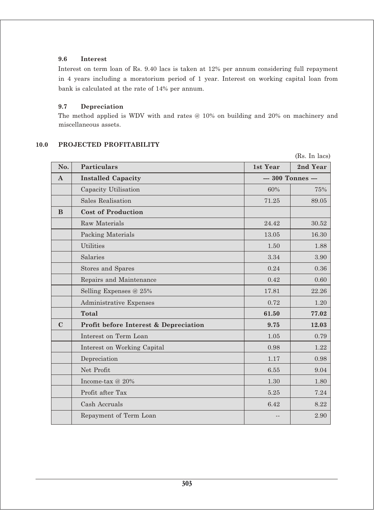# **9.6 Interest**

Interest on term loan of Rs. 9.40 lacs is taken at 12% per annum considering full repayment in 4 years including a moratorium period of 1 year. Interest on working capital loan from bank is calculated at the rate of 14% per annum.

#### **9.7 Depreciation**

The method applied is WDV with and rates @ 10% on building and 20% on machinery and miscellaneous assets.

#### **10.0 PROJECTED PROFITABILITY**

 (Rs. In lacs) **No. Particulars 1st Year 2nd Year A** Installed Capacity **--- 300 Tonnes --**Capacity Utilisation 60% 75% Sales Realisation 71.25 89.05 **B Cost of Production** Raw Materials 24.42  $\vert$  30.52 Packing Materials 16.30 Utilities  $1.50$  and  $1.88$  $\text{Salaries} \begin{array}{|l|} \text{Salaries} \end{array} \hspace{1.5cm} 3.34 \begin{array}{|l|} \text{3.34} \end{array} \hspace{1.8cm} 3.90$ Stores and Spares 0.24 0.36 Repairs and Maintenance  $0.42 \quad | \quad 0.60$ Selling Expenses @ 25% 17.81 22.26 Administrative Expenses 1.20 1.20 **Total 61.50 77.02 C Profit before Interest & Depreciation 9.75 12.03** Interest on Term Loan  $1.05$  0.79 Interest on Working Capital 0.98 1.22 Depreciation  $0.98$ Net Profit 6.55 9.04  $1.30 \t 1.30 \t 1.30 \t 1.80$ Profit after Tax 5.25 7.24  $\cosh$  Accruals 6.42 8.22 Repayment of Term Loan  $\vert$  2.90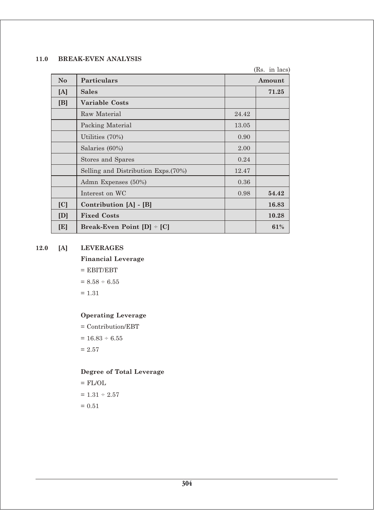# **11.0 BREAK-EVEN ANALYSIS**

|     |                                      |       | (Rs. in lacs) |
|-----|--------------------------------------|-------|---------------|
| No. | <b>Particulars</b>                   |       | Amount        |
| [A] | <b>Sales</b>                         |       | 71.25         |
| [B] | <b>Variable Costs</b>                |       |               |
|     | Raw Material                         | 24.42 |               |
|     | Packing Material                     | 13.05 |               |
|     | Utilities (70%)                      | 0.90  |               |
|     | Salaries (60%)                       | 2.00  |               |
|     | Stores and Spares                    | 0.24  |               |
|     | Selling and Distribution Exps. (70%) | 12.47 |               |
|     | Admn Expenses (50%)                  | 0.36  |               |
|     | Interest on WC                       | 0.98  | 54.42         |
| [C] | Contribution [A] - [B]               |       | 16.83         |
| [D] | <b>Fixed Costs</b>                   |       | 10.28         |
| [E] | Break-Even Point $[D]$ = $[C]$       |       | 61%           |

# **12.0 [A] LEVERAGES**

**Financial Leverage**

 $=$  EBIT/EBT  $= 8.58 \div 6.55$ 

 $= 1.31$ 

# **Operating Leverage**

= Contribution/EBT  $= 16.83 \div 6.55$  $= 2.57$ 

**Degree of Total Leverage**

 $=$  FL/OL  $= 1.31 \div 2.57$  $= 0.51$